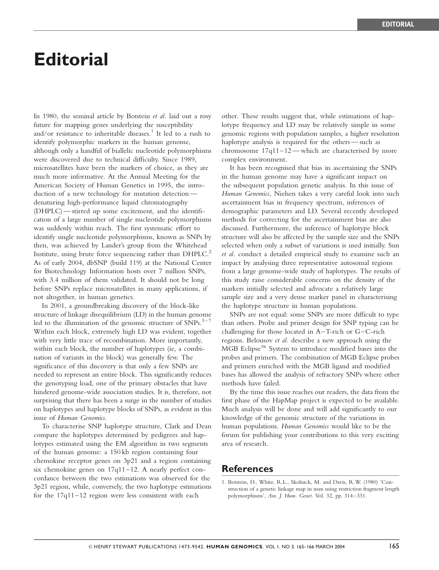## **Editorial**

In 1980, the seminal article by Botstein *et al.* laid out a rosy future for mapping genes underlying the susceptibility and/or resistance to inheritable diseases.<sup>1</sup> It led to a rush to identify polymorphic markers in the human genome, although only a handful of biallelic nucleotide polymorphisms were discovered due to technical difficulty. Since 1989, microsatellites have been the markers of choice, as they are much more informative. At the Annual Meeting for the American Society of Human Genetics in 1995, the introduction of a new technology for mutation detection denaturing high-performance liquid chromatography (DHPLC) — stirred up some excitement, and the identification of a large number of single nucleotide polymorphisms was suddenly within reach. The first systematic effort to identify single nucleotide polymorphisms, known as SNPs by then, was achieved by Lander's group from the Whitehead Institute, using brute force sequencing rather than DHPLC.<sup>2</sup> As of early 2004, dbSNP (build 119) at the National Center for Biotechnology Information hosts over 7 million SNPs, with 3.4 million of them validated. It should not be long before SNPs replace microsatellites in many applications, if not altogether, in human genetics.

In 2001, a groundbreaking discovery of the block-like structure of linkage disequilibrium (LD) in the human genome led to the illumination of the genomic structure of  $SNPs$ .<sup>3-7</sup> Within each block, extremely high LD was evident, together with very little trace of recombination. More importantly, within each block, the number of haplotypes (ie, a combination of variants in the block) was generally few. The significance of this discovery is that only a few SNPs are needed to represent an entire block. This significantly reduces the genotyping load, one of the primary obstacles that have hindered genome-wide association studies. It is, therefore, not surprising that there has been a surge in the number of studies on haplotypes and haplotype blocks of SNPs, as evident in this issue of Human Genomics.

To characterise SNP haplotype structure, Clark and Dean compare the haplotypes determined by pedigrees and haplotypes estimated using the EM algorithm in two segments of the human genome: a 150 kb region containing four chemokine receptor genes on 3p21 and a region containing six chemokine genes on 17q11–12. A nearly perfect concordance between the two estimations was observed for the 3p21 region, while, conversely, the two haplotype estimations for the 17q11–12 region were less consistent with each

other. These results suggest that, while estimations of haplotype frequency and LD may be relatively simple in some genomic regions with population samples, a higher resolution haplotype analysis is required for the others — such as chromosome  $17q11-12$  — which are characterised by more complex environment.

It has been recognised that bias in ascertaining the SNPs in the human genome may have a significant impact on the subsequent population genetic analysis. In this issue of Human Genomics, Nielsen takes a very careful look into such ascertainment bias in frequency spectrum, inferences of demographic parameters and LD. Several recently developed methods for correcting for the ascertainment bias are also discussed. Furthermore, the inference of haplotype block structure will also be affected by the sample size and the SNPs selected when only a subset of variations is used initially. Sun et al. conduct a detailed empirical study to examine such an impact by analysing three representative autosomal regions from a large genome-wide study of haplotypes. The results of this study raise considerable concerns on the density of the markers initially selected and advocate a relatively large sample size and a very dense marker panel in characterising the haplotype structure in human populations.

SNPs are not equal: some SNPs are more difficult to type than others. Probe and primer design for SNP typing can be challenging for those located in A–T-rich or G–C-rich regions. Belousov et al. describe a new approach using the MGB Eclipse<sup>™</sup> System to introduce modified bases into the probes and primers. The combination of MGB Eclipse probes and primers enriched with the MGB ligand and modified bases has allowed the analysis of refractory SNPs where other methods have failed.

By the time this issue reaches our readers, the data from the first phase of the HapMap project is expected to be available. Much analysis will be done and will add significantly to our knowledge of the genomic structure of the variations in human populations. Human Genomics would like to be the forum for publishing your contributions to this very exciting area of research.

## References

<sup>1.</sup> Botstein, D., White, R.L., Skolnick, M. and Davis, R.W. (1980) 'Construction of a genetic linkage map in man using restriction fragment length polymorphisms', Am. J. Hum. Genet. Vol. 32, pp. 314–331.